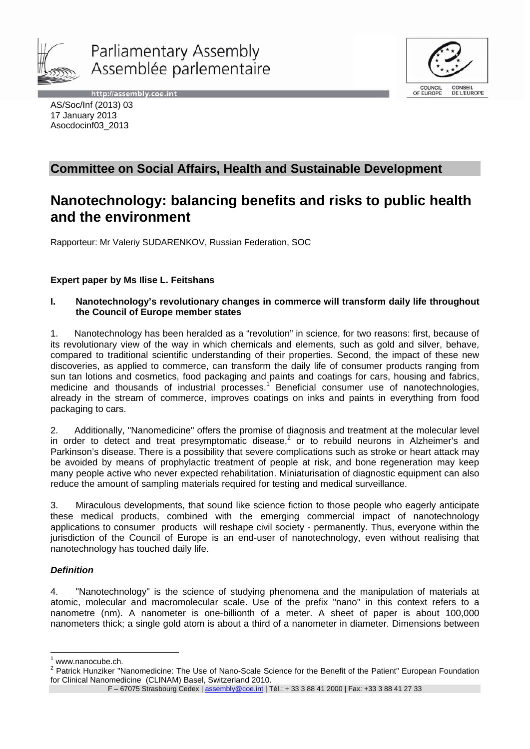





AS/Soc/Inf (2013) 03 17 January 2013 Asocdocinf03\_2013

# **Committee on Social Affairs, Health and Sustainable Development**

# **Nanotechnology: balancing benefits and risks to public health and the environment**

Rapporteur: Mr Valeriy SUDARENKOV, Russian Federation, SOC

# **Expert paper by Ms Ilise L. Feitshans**

# **I. Nanotechnology's revolutionary changes in commerce will transform daily life throughout the Council of Europe member states**

1. Nanotechnology has been heralded as a "revolution" in science, for two reasons: first, because of its revolutionary view of the way in which chemicals and elements, such as gold and silver, behave, compared to traditional scientific understanding of their properties. Second, the impact of these new discoveries, as applied to commerce, can transform the daily life of consumer products ranging from sun tan lotions and cosmetics, food packaging and paints and coatings for cars, housing and fabrics, medicine and thousands of industrial processes.<sup>1</sup> Beneficial consumer use of nanotechnologies, already in the stream of commerce, improves coatings on inks and paints in everything from food packaging to cars.

2. Additionally, "Nanomedicine" offers the promise of diagnosis and treatment at the molecular level in order to detect and treat presymptomatic disease, $2$  or to rebuild neurons in Alzheimer's and Parkinson's disease. There is a possibility that severe complications such as stroke or heart attack may be avoided by means of prophylactic treatment of people at risk, and bone regeneration may keep many people active who never expected rehabilitation. Miniaturisation of diagnostic equipment can also reduce the amount of sampling materials required for testing and medical surveillance.

3. Miraculous developments, that sound like science fiction to those people who eagerly anticipate these medical products, combined with the emerging commercial impact of nanotechnology applications to consumer products will reshape civil society - permanently. Thus, everyone within the jurisdiction of the Council of Europe is an end-user of nanotechnology, even without realising that nanotechnology has touched daily life.

# *Definition*

4. "Nanotechnology" is the science of studying phenomena and the manipulation of materials at atomic, molecular and macromolecular scale. Use of the prefix "nano" in this context refers to a nanometre (nm). A nanometer is one-billionth of a meter. A sheet of paper is about 100,000 nanometers thick; a single gold atom is about a third of a nanometer in diameter. Dimensions between

 $\overline{a}$ 1 www.nanocube.ch.

<sup>&</sup>lt;sup>2</sup> Patrick Hunziker "Nanomedicine: The Use of Nano-Scale Science for the Benefit of the Patient" European Foundation for Clinical Nanomedicine (CLINAM) Basel, Switzerland 2010.

F - 67075 Strasbourg Cedex | assembly@coe.int | Tél.: + 33 3 88 41 2000 | Fax: +33 3 88 41 27 33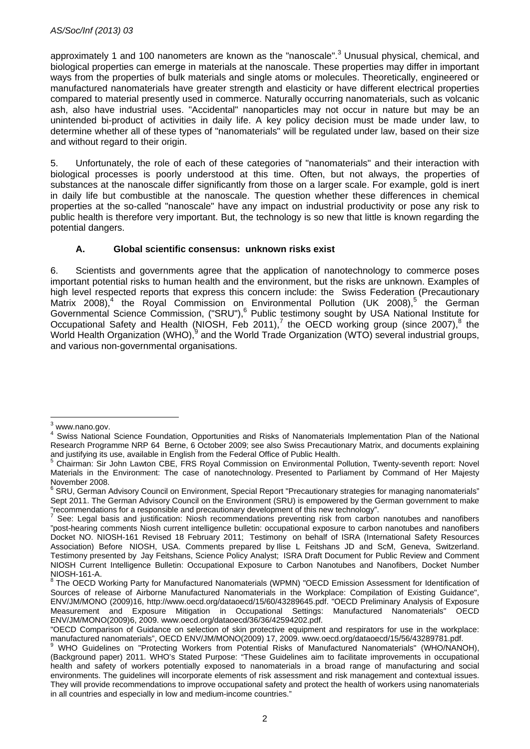approximately 1 and 100 nanometers are known as the "nanoscale".<sup>3</sup> Unusual physical, chemical, and biological properties can emerge in materials at the nanoscale. These properties may differ in important ways from the properties of bulk materials and single atoms or molecules. Theoretically, engineered or manufactured nanomaterials have greater strength and elasticity or have different electrical properties compared to material presently used in commerce. Naturally occurring nanomaterials, such as volcanic ash, also have industrial uses. "Accidental" nanoparticles may not occur in nature but may be an unintended bi-product of activities in daily life. A key policy decision must be made under law, to determine whether all of these types of "nanomaterials" will be regulated under law, based on their size and without regard to their origin.

5. Unfortunately, the role of each of these categories of "nanomaterials" and their interaction with biological processes is poorly understood at this time. Often, but not always, the properties of substances at the nanoscale differ significantly from those on a larger scale. For example, gold is inert in daily life but combustible at the nanoscale. The question whether these differences in chemical properties at the so-called "nanoscale" have any impact on industrial productivity or pose any risk to public health is therefore very important. But, the technology is so new that little is known regarding the potential dangers.

# **A. Global scientific consensus: unknown risks exist**

6. Scientists and governments agree that the application of nanotechnology to commerce poses important potential risks to human health and the environment, but the risks are unknown. Examples of high level respected reports that express this concern include: the Swiss Federation (Precautionary Matrix 2008),<sup>4</sup> the Royal Commission on Environmental Pollution (UK 2008),<sup>5</sup> the German Governmental Science Commission, ("SRU"),<sup>6</sup> Public testimony sought by USA National Institute for Occupational Safety and Health (NIOSH, Feb 2011),<sup>7</sup> the OECD working group (since 2007),<sup>8</sup> the World Health Organization (WHO),  $9$  and the World Trade Organization (WTO) several industrial groups, and various non-governmental organisations.

 $\overline{a}$ 3 www.nano.gov.

<sup>4</sup> Swiss National Science Foundation, Opportunities and Risks of Nanomaterials Implementation Plan of the National Research Programme NRP 64Berne, 6 October 2009; see also Swiss Precautionary Matrix, and documents explaining and justifying its use, available in English from the Federal Office of Public Health.

Chairman: Sir John Lawton CBE, FRS Royal Commission on Environmental Pollution, Twenty-seventh report: Novel Materials in the Environment: The case of nanotechnology. Presented to Parliament by Command of Her Majesty November 2008.

<sup>&</sup>lt;sup>6</sup> SRU, German Advisory Council on Environment, Special Report "Precautionary strategies for managing nanomaterials" Sept 2011. The German Advisory Council on the Environment (SRU) is empowered by the German government to make "recommendations for a responsible and precautionary development of this new technology". 7

See: Legal basis and justification: Niosh recommendations preventing risk from carbon nanotubes and nanofibers "post-hearing comments Niosh current intelligence bulletin: occupational exposure to carbon nanotubes and nanofibers Docket NO. NIOSH-161 Revised 18 February 2011; Testimony on behalf of ISRA (International Safety Resources Association) Before NIOSH, USA. Comments prepared by Ilise L Feitshans JD and ScM, Geneva, Switzerland. Testimony presented by Jay Feitshans, Science Policy Analyst; ISRA Draft Document for Public Review and Comment NIOSH Current Intelligence Bulletin: Occupational Exposure to Carbon Nanotubes and Nanofibers, Docket Number NIOSH-161-A.

<sup>&</sup>lt;sup>8</sup> The OECD Working Party for Manufactured Nanomaterials (WPMN) "OECD Emission Assessment for Identification of Sources of release of Airborne Manufactured Nanomaterials in the Workplace: Compilation of Existing Guidance", ENV/JM/MONO (2009)16, http://www.oecd.org/dataoecd/15/60/43289645.pdf. "OECD Preliminary Analysis of Exposure Measurement and Exposure Mitigation in Occupational Settings: Manufactured Nanomaterials" OECD ENV/JM/MONO(2009)6, 2009. www.oecd.org/dataoecd/36/36/42594202.pdf.

<sup>&</sup>quot;OECD Comparison of Guidance on selection of skin protective equipment and respirators for use in the workplace: manufactured nanomaterials", OECD ENV/JM/MONO(2009) 17, 2009. www.oecd.org/dataoecd/15/56/43289781.pdf.

<sup>&</sup>lt;sup>9</sup> WHO Guidelines on "Protecting Workers from Potential Risks of Manufactured Nanomaterials" (WHO/NANOH), (Background paper) 2011. WHO's Stated Purpose: "These Guidelines aim to facilitate improvements in occupational health and safety of workers potentially exposed to nanomaterials in a broad range of manufacturing and social environments. The guidelines will incorporate elements of risk assessment and risk management and contextual issues. They will provide recommendations to improve occupational safety and protect the health of workers using nanomaterials in all countries and especially in low and medium-income countries."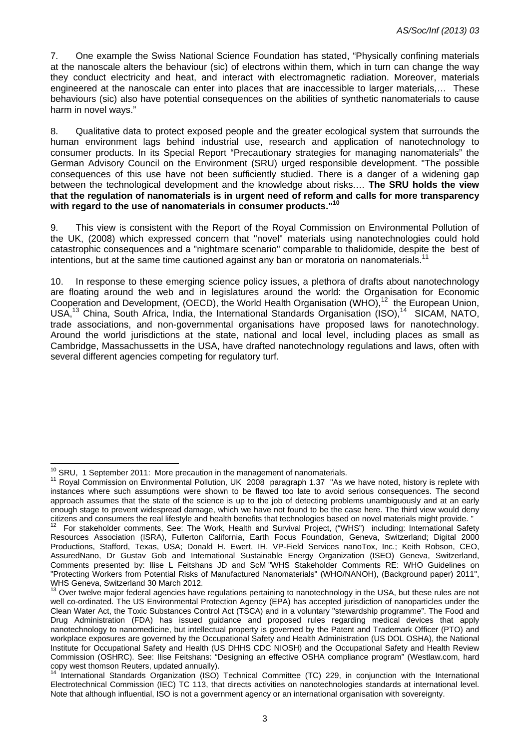7. One example the Swiss National Science Foundation has stated, "Physically confining materials at the nanoscale alters the behaviour (sic) of electrons within them, which in turn can change the way they conduct electricity and heat, and interact with electromagnetic radiation. Moreover, materials engineered at the nanoscale can enter into places that are inaccessible to larger materials,… These behaviours (sic) also have potential consequences on the abilities of synthetic nanomaterials to cause harm in novel ways."

8. Qualitative data to protect exposed people and the greater ecological system that surrounds the human environment lags behind industrial use, research and application of nanotechnology to consumer products. In its Special Report "Precautionary strategies for managing nanomaterials" the German Advisory Council on the Environment (SRU) urged responsible development. "The possible consequences of this use have not been sufficiently studied. There is a danger of a widening gap between the technological development and the knowledge about risks.… **The SRU holds the view that the regulation of nanomaterials is in urgent need of reform and calls for more transparency with regard to the use of nanomaterials in consumer products."10**

9. This view is consistent with the Report of the Royal Commission on Environmental Pollution of the UK, (2008) which expressed concern that "novel" materials using nanotechnologies could hold catastrophic consequences and a "nightmare scenario" comparable to thalidomide, despite the best of intentions, but at the same time cautioned against any ban or moratoria on nanomaterials.<sup>11</sup>

10. In response to these emerging science policy issues, a plethora of drafts about nanotechnology are floating around the web and in legislatures around the world: the Organisation for Economic Cooperation and Development, (OECD), the World Health Organisation (WHO),<sup>12</sup> the European Union, USA,<sup>13</sup> China, South Africa, India, the International Standards Organisation (ISO), <sup>14</sup> SICAM, NATO, trade associations, and non-governmental organisations have proposed laws for nanotechnology. Around the world jurisdictions at the state, national and local level, including places as small as Cambridge, Massachussetts in the USA, have drafted nanotechnology regulations and laws, often with several different agencies competing for regulatory turf.

<sup>&</sup>lt;sup>10</sup> SRU. 1 September 2011: More precaution in the management of nanomaterials.

<sup>&</sup>lt;sup>11</sup> Roval Commission on Environmental Pollution, UK 2008 paragraph 1.37 "As we have noted, history is replete with instances where such assumptions were shown to be flawed too late to avoid serious consequences. The second approach assumes that the state of the science is up to the job of detecting problems unambiguously and at an early enough stage to prevent widespread damage, which we have not found to be the case here. The third view would deny citizens and consumers the real lifestyle and health benefits that technologies based on novel materials might provide. "<br><sup>12</sup> For stakeholder comments, See: The Work, Health and Survival Project, ("WHS") including: Intern

Resources Association (ISRA), Fullerton California, Earth Focus Foundation, Geneva, Switzerland; Digital 2000 Productions, Stafford, Texas, USA; Donald H. Ewert, IH, VP-Field Services nanoTox, Inc.; Keith Robson, CEO, AssuredNano, Dr Gustav Gob and International Sustainable Energy Organization (ISEO) Geneva, Switzerland, Comments presented by: Ilise L Feitshans JD and ScM "WHS Stakeholder Comments RE: WHO Guidelines on "Protecting Workers from Potential Risks of Manufactured Nanomaterials" (WHO/NANOH), (Background paper) 2011", WHS Geneva, Switzerland 30 March 2012.

<sup>&</sup>lt;sup>13</sup> Over twelve major federal agencies have regulations pertaining to nanotechnology in the USA, but these rules are not well co-ordinated. The US Environmental Protection Agency (EPA) has accepted jurisdiction of nanoparticles under the Clean Water Act, the Toxic Substances Control Act (TSCA) and in a voluntary "stewardship programme". The Food and Drug Administration (FDA) has issued guidance and proposed rules regarding medical devices that apply nanotechnology to nanomedicine, but intellectual property is governed by the Patent and Trademark Officer (PTO) and workplace exposures are governed by the Occupational Safety and Health Administration (US DOL OSHA), the National Institute for Occupational Safety and Health (US DHHS CDC NIOSH) and the Occupational Safety and Health Review Commission (OSHRC). See: Ilise Feitshans: "Designing an effective OSHA compliance program" (Westlaw.com, hard copy west thomson Reuters, updated annually).<br> $^{14}$  International Ctristic Control Ctristic Control Ctristic Control Ctristic Control Ctristic Control Ctristic Control Ctristic Control Ctristic Control Ctristic Control C

<sup>14</sup> International Standards Organization (ISO) Technical Committee (TC) 229, in conjunction with the International Electrotechnical Commission (IEC) TC 113, that directs activities on nanotechnologies standards at international level. Note that although influential, ISO is not a government agency or an international organisation with sovereignty.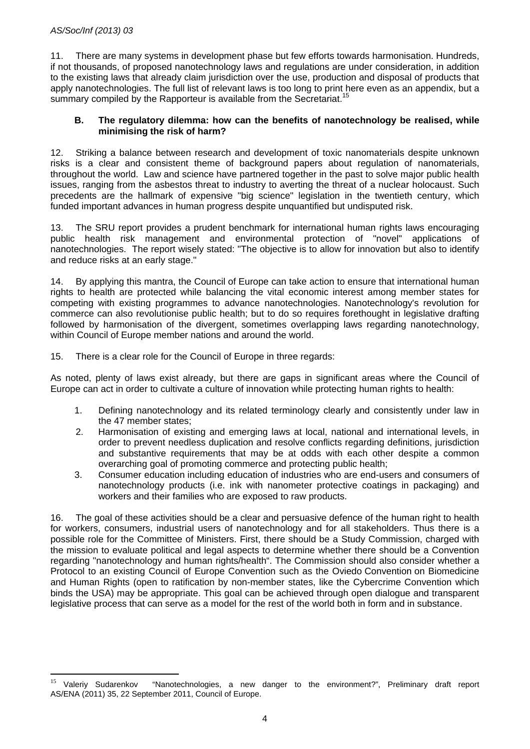$\overline{a}$ 

11. There are many systems in development phase but few efforts towards harmonisation. Hundreds, if not thousands, of proposed nanotechnology laws and regulations are under consideration, in addition to the existing laws that already claim jurisdiction over the use, production and disposal of products that apply nanotechnologies. The full list of relevant laws is too long to print here even as an appendix, but a summary compiled by the Rapporteur is available from the Secretariat.<sup>15</sup>

#### **B. The regulatory dilemma: how can the benefits of nanotechnology be realised, while minimising the risk of harm?**

12. Striking a balance between research and development of toxic nanomaterials despite unknown risks is a clear and consistent theme of background papers about regulation of nanomaterials, throughout the world. Law and science have partnered together in the past to solve major public health issues, ranging from the asbestos threat to industry to averting the threat of a nuclear holocaust. Such precedents are the hallmark of expensive "big science" legislation in the twentieth century, which funded important advances in human progress despite unquantified but undisputed risk.

13. The SRU report provides a prudent benchmark for international human rights laws encouraging public health risk management and environmental protection of "novel" applications of nanotechnologies. The report wisely stated: "The objective is to allow for innovation but also to identify and reduce risks at an early stage."

14. By applying this mantra, the Council of Europe can take action to ensure that international human rights to health are protected while balancing the vital economic interest among member states for competing with existing programmes to advance nanotechnologies. Nanotechnology's revolution for commerce can also revolutionise public health; but to do so requires forethought in legislative drafting followed by harmonisation of the divergent, sometimes overlapping laws regarding nanotechnology, within Council of Europe member nations and around the world.

15. There is a clear role for the Council of Europe in three regards:

As noted, plenty of laws exist already, but there are gaps in significant areas where the Council of Europe can act in order to cultivate a culture of innovation while protecting human rights to health:

- 1. Defining nanotechnology and its related terminology clearly and consistently under law in the 47 member states;
- 2. Harmonisation of existing and emerging laws at local, national and international levels, in order to prevent needless duplication and resolve conflicts regarding definitions, jurisdiction and substantive requirements that may be at odds with each other despite a common overarching goal of promoting commerce and protecting public health;
- 3. Consumer education including education of industries who are end-users and consumers of nanotechnology products (i.e. ink with nanometer protective coatings in packaging) and workers and their families who are exposed to raw products.

16. The goal of these activities should be a clear and persuasive defence of the human right to health for workers, consumers, industrial users of nanotechnology and for all stakeholders. Thus there is a possible role for the Committee of Ministers. First, there should be a Study Commission, charged with the mission to evaluate political and legal aspects to determine whether there should be a Convention regarding "nanotechnology and human rights/health". The Commission should also consider whether a Protocol to an existing Council of Europe Convention such as the Oviedo Convention on Biomedicine and Human Rights (open to ratification by non-member states, like the Cybercrime Convention which binds the USA) may be appropriate. This goal can be achieved through open dialogue and transparent legislative process that can serve as a model for the rest of the world both in form and in substance.

<sup>&</sup>lt;sup>15</sup> Valeriy Sudarenkov "Nanotechnologies, a new danger to the environment?", Preliminary draft report AS/ENA (2011) 35, 22 September 2011, Council of Europe.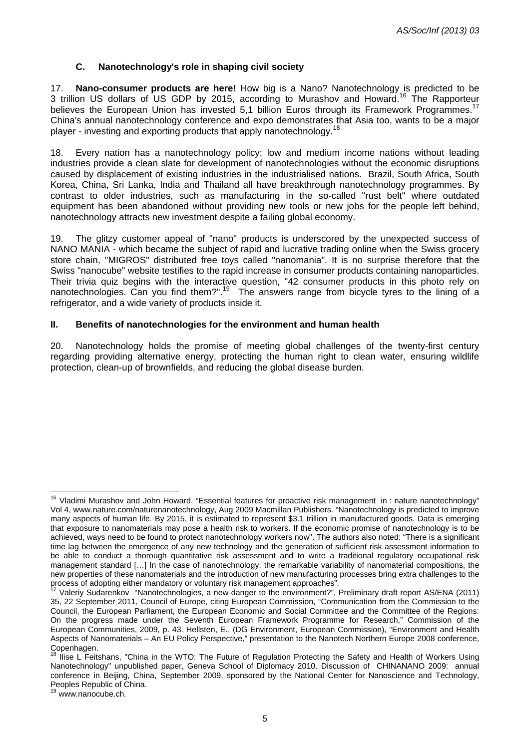# **C. Nanotechnology's role in shaping civil society**

17. **Nano-consumer products are here!** How big is a Nano? Nanotechnology is predicted to be 3 trillion US dollars of US GDP by 2015, according to Murashov and Howard.16 The Rapporteur believes the European Union has invested 5,1 billion Euros through its Framework Programmes.<sup>17</sup> China's annual nanotechnology conference and expo demonstrates that Asia too, wants to be a major player - investing and exporting products that apply nanotechnology.18

18. Every nation has a nanotechnology policy; low and medium income nations without leading industries provide a clean slate for development of nanotechnologies without the economic disruptions caused by displacement of existing industries in the industrialised nations. Brazil, South Africa, South Korea, China, Sri Lanka, India and Thailand all have breakthrough nanotechnology programmes. By contrast to older industries, such as manufacturing in the so-called "rust belt" where outdated equipment has been abandoned without providing new tools or new jobs for the people left behind, nanotechnology attracts new investment despite a failing global economy.

19. The glitzy customer appeal of "nano" products is underscored by the unexpected success of NANO MANIA - which became the subject of rapid and lucrative trading online when the Swiss grocery store chain, "MIGROS" distributed free toys called "nanomania". It is no surprise therefore that the Swiss "nanocube" website testifies to the rapid increase in consumer products containing nanoparticles. Their trivia quiz begins with the interactive question, "42 consumer products in this photo rely on nanotechnologies. Can you find them?".<sup>19</sup> The answers range from bicycle tyres to the lining of a refrigerator, and a wide variety of products inside it.

#### **II. Benefits of nanotechnologies for the environment and human health**

20. Nanotechnology holds the promise of meeting global challenges of the twenty-first century regarding providing alternative energy, protecting the human right to clean water, ensuring wildlife protection, clean-up of brownfields, and reducing the global disease burden.

19 www.nanocube.ch.

 $\overline{1}$ 

<sup>&</sup>lt;sup>16</sup> Vladimi Murashov and John Howard, "Essential features for proactive risk management in : nature nanotechnology" Vol 4, www.nature.com/naturenanotechnology, Aug 2009 Macmillan Publishers. "Nanotechnology is predicted to improve many aspects of human life. By 2015, it is estimated to represent \$3.1 trillion in manufactured goods. Data is emerging that exposure to nanomaterials may pose a health risk to workers. If the economic promise of nanotechnology is to be achieved, ways need to be found to protect nanotechnology workers now". The authors also noted: "There is a significant time lag between the emergence of any new technology and the generation of sufficient risk assessment information to be able to conduct a thorough quantitative risk assessment and to write a traditional regulatory occupational risk management standard […] In the case of nanotechnology, the remarkable variability of nanomaterial compositions, the new properties of these nanomaterials and the introduction of new manufacturing processes bring extra challenges to the process of adopting either mandatory or voluntary risk management approaches".<br><sup>17</sup> Valeriy Sudarenkov "Nanotechnologies, a new danger to the environment?", Preliminary draft report AS/ENA (2011)

<sup>35, 22</sup> September 2011, Council of Europe, citing European Commission, "Communication from the Commission to the Council, the European Parliament, the European Economic and Social Committee and the Committee of the Regions: On the progress made under the Seventh European Framework Programme for Research," Commission of the European Communities, 2009, p. 43. Hellsten, E., (DG Environment, European Commission), "Environment and Health Aspects of Nanomaterials – An EU Policy Perspective," presentation to the Nanotech Northern Europe 2008 conference, Copenhagen.<br><sup>18</sup> llien L. Fait

<sup>18</sup> Ilise L Feitshans, "China in the WTO: The Future of Regulation Protecting the Safety and Health of Workers Using Nanotechnology" unpublished paper, Geneva School of Diplomacy 2010. Discussion of CHINANANO 2009: annual conference in Beijing, China, September 2009, sponsored by the National Center for Nanoscience and Technology, Peoples Republic of China.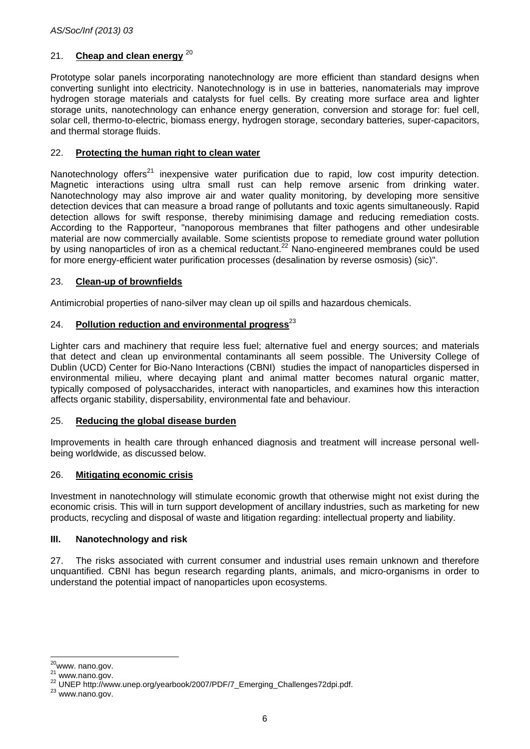# 21. **Cheap and clean energy** 20

Prototype solar panels incorporating nanotechnology are more efficient than standard designs when converting sunlight into electricity. Nanotechnology is in use in batteries, nanomaterials may improve hydrogen storage materials and catalysts for fuel cells. By creating more surface area and lighter storage units, nanotechnology can enhance energy generation, conversion and storage for: fuel cell, solar cell, thermo-to-electric, biomass energy, hydrogen storage, secondary batteries, super-capacitors, and thermal storage fluids.

# 22. **Protecting the human right to clean water**

Nanotechnology offers<sup>21</sup> inexpensive water purification due to rapid, low cost impurity detection. Magnetic interactions using ultra small rust can help remove arsenic from drinking water. Nanotechnology may also improve air and water quality monitoring, by developing more sensitive detection devices that can measure a broad range of pollutants and toxic agents simultaneously. Rapid detection allows for swift response, thereby minimising damage and reducing remediation costs. According to the Rapporteur, "nanoporous membranes that filter pathogens and other undesirable material are now commercially available. Some scientists propose to remediate ground water pollution by using nanoparticles of iron as a chemical reductant.<sup>22</sup> Nano-engineered membranes could be used for more energy-efficient water purification processes (desalination by reverse osmosis) (sic)".

# 23. **Clean-up of brownfields**

Antimicrobial properties of nano-silver may clean up oil spills and hazardous chemicals.

# 24. **Pollution reduction and environmental progress**<sup>23</sup>

Lighter cars and machinery that require less fuel; alternative fuel and energy sources; and materials that detect and clean up environmental contaminants all seem possible. The University College of Dublin (UCD) Center for Bio-Nano Interactions (CBNI) studies the impact of nanoparticles dispersed in environmental milieu, where decaying plant and animal matter becomes natural organic matter, typically composed of polysaccharides, interact with nanoparticles, and examines how this interaction affects organic stability, dispersability, environmental fate and behaviour.

#### 25. **Reducing the global disease burden**

Improvements in health care through enhanced diagnosis and treatment will increase personal wellbeing worldwide, as discussed below.

#### 26. **Mitigating economic crisis**

Investment in nanotechnology will stimulate economic growth that otherwise might not exist during the economic crisis. This will in turn support development of ancillary industries, such as marketing for new products, recycling and disposal of waste and litigation regarding: intellectual property and liability.

#### **III. Nanotechnology and risk**

27. The risks associated with current consumer and industrial uses remain unknown and therefore unquantified. CBNI has begun research regarding plants, animals, and micro-organisms in order to understand the potential impact of nanoparticles upon ecosystems.

 $\overline{a}$ 

<sup>&</sup>lt;sup>20</sup>www. nano.gov.<br><sup>21</sup> www.nano.gov.<br><sup>22</sup> UNEP http://www.unep.org/yearbook/2007/PDF/7\_Emerging\_Challenges72dpi.pdf.<br><sup>23</sup> www.nano.gov.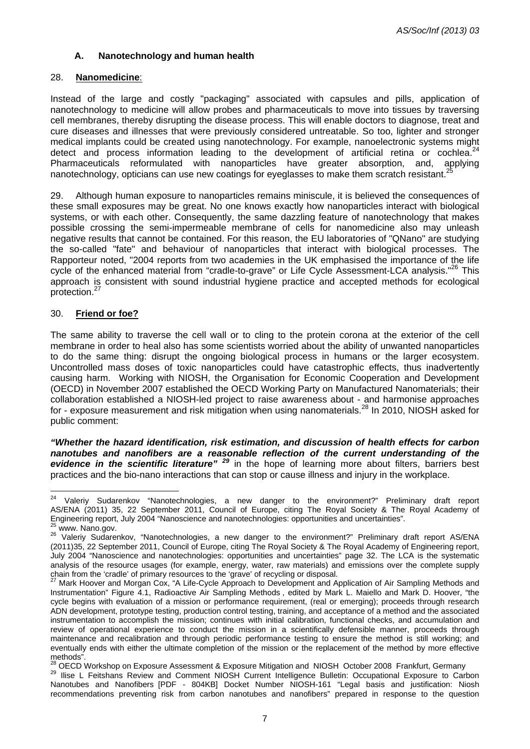# **A. Nanotechnology and human health**

#### 28. **Nanomedicine**:

Instead of the large and costly "packaging" associated with capsules and pills, application of nanotechnology to medicine will allow probes and pharmaceuticals to move into tissues by traversing cell membranes, thereby disrupting the disease process. This will enable doctors to diagnose, treat and cure diseases and illnesses that were previously considered untreatable. So too, lighter and stronger medical implants could be created using nanotechnology. For example, nanoelectronic systems might detect and process information leading to the development of artificial retina or cochlea.<sup>24</sup> Pharmaceuticals reformulated with nanoparticles have greater absorption, and, applying nanotechnology, opticians can use new coatings for eyeglasses to make them scratch resistant.

29. Although human exposure to nanoparticles remains miniscule, it is believed the consequences of these small exposures may be great. No one knows exactly how nanoparticles interact with biological systems, or with each other. Consequently, the same dazzling feature of nanotechnology that makes possible crossing the semi-impermeable membrane of cells for nanomedicine also may unleash negative results that cannot be contained. For this reason, the EU laboratories of "QNano" are studying the so-called "fate" and behaviour of nanoparticles that interact with biological processes. The Rapporteur noted, "2004 reports from two academies in the UK emphasised the importance of the life cycle of the enhanced material from "cradle-to-grave" or Life Cycle Assessment-LCA analysis."<sup>26</sup> This approach is consistent with sound industrial hygiene practice and accepted methods for ecological protection.<sup>2</sup>

#### 30. **Friend or foe?**

The same ability to traverse the cell wall or to cling to the protein corona at the exterior of the cell membrane in order to heal also has some scientists worried about the ability of unwanted nanoparticles to do the same thing: disrupt the ongoing biological process in humans or the larger ecosystem. Uncontrolled mass doses of toxic nanoparticles could have catastrophic effects, thus inadvertently causing harm. Working with NIOSH, the Organisation for Economic Cooperation and Development (OECD) in November 2007 established the OECD Working Party on Manufactured Nanomaterials; their collaboration established a NIOSH-led project to raise awareness about - and harmonise approaches for - exposure measurement and risk mitigation when using nanomaterials.<sup>28</sup> In 2010, NIOSH asked for public comment:

*"Whether the hazard identification, risk estimation, and discussion of health effects for carbon nanotubes and nanofibers are a reasonable reflection of the current understanding of the evidence in the scientific literature" <sup>29</sup>* in the hope of learning more about filters, barriers best practices and the bio-nano interactions that can stop or cause illness and injury in the workplace.

<sup>24</sup> Valeriy Sudarenkov "Nanotechnologies, a new danger to the environment?" Preliminary draft report AS/ENA (2011) 35, 22 September 2011, Council of Europe, citing The Royal Society & The Royal Academy of Engineering report, July 2004 "Nanoscience and nanotechnologies: opportunities and uncertainties".

<sup>&</sup>lt;sup>25</sup> www. Nano.gov.<br><sup>26</sup> Valeriv Sudarenkov, "Nanotechnologies, a new danger to the environment?" Preliminary draft report AS/ENA (2011)35, 22 September 2011, Council of Europe, citing The Royal Society & The Royal Academy of Engineering report, July 2004 "Nanoscience and nanotechnologies: opportunities and uncertainties" page 32. The LCA is the systematic analysis of the resource usages (for example, energy, water, raw materials) and emissions over the complete supply chain from the 'cradle' of primary resources to the 'grave' of recycling or disposal.<br><sup>27</sup> Mark Hoover and Morgan Cox, "A Life-Cycle Approach to Development and Application of Air Sampling Methods and

Instrumentation" Figure 4.1, Radioactive Air Sampling Methods , edited by Mark L. Maiello and Mark D. Hoover, "the cycle begins with evaluation of a mission or performance requirement, (real or emerging); proceeds through research ADN development, prototype testing, production control testing, training, and acceptance of a method and the associated instrumentation to accomplish the mission; continues with initial calibration, functional checks, and accumulation and review of operational experience to conduct the mission in a scientifically defensible manner, proceeds through maintenance and recalibration and through periodic performance testing to ensure the method is still working; and eventually ends with either the ultimate completion of the mission or the replacement of the method by more effective methods".

<sup>&</sup>lt;sup>28</sup> OECD Workshop on Exposure Assessment & Exposure Mitigation and NIOSH October 2008 Frankfurt, Germany <sup>29</sup> Ilise L Feitshans Review and Comment NIOSH Current Intelligence Bulletin: Occupational Exposure to Carbon Nanotubes and Nanofibers [PDF - 804KB] Docket Number NIOSH-161 "Legal basis and justification: Niosh recommendations preventing risk from carbon nanotubes and nanofibers" prepared in response to the question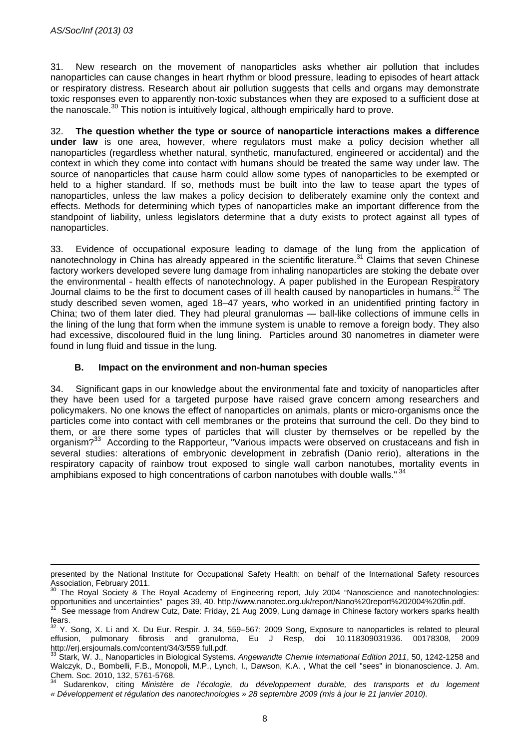$\overline{a}$ 

31. New research on the movement of nanoparticles asks whether air pollution that includes nanoparticles can cause changes in heart rhythm or blood pressure, leading to episodes of heart attack or respiratory distress. Research about air pollution suggests that cells and organs may demonstrate toxic responses even to apparently non-toxic substances when they are exposed to a sufficient dose at the nanoscale.<sup>30</sup> This notion is intuitively logical, although empirically hard to prove.

32. **The question whether the type or source of nanoparticle interactions makes a difference under law** is one area, however, where regulators must make a policy decision whether all nanoparticles (regardless whether natural, synthetic, manufactured, engineered or accidental) and the context in which they come into contact with humans should be treated the same way under law. The source of nanoparticles that cause harm could allow some types of nanoparticles to be exempted or held to a higher standard. If so, methods must be built into the law to tease apart the types of nanoparticles, unless the law makes a policy decision to deliberately examine only the context and effects. Methods for determining which types of nanoparticles make an important difference from the standpoint of liability, unless legislators determine that a duty exists to protect against all types of nanoparticles.

33. Evidence of occupational exposure leading to damage of the lung from the application of nanotechnology in China has already appeared in the scientific literature.<sup>31</sup> Claims that seven Chinese factory workers developed severe lung damage from inhaling nanoparticles are stoking the debate over the environmental - health effects of nanotechnology. A paper published in the European Respiratory Journal claims to be the first to document cases of ill health caused by nanoparticles in humans.<sup>32</sup> The study described seven women, aged 18–47 years, who worked in an unidentified printing factory in China; two of them later died. They had pleural granulomas — ball-like collections of immune cells in the lining of the lung that form when the immune system is unable to remove a foreign body. They also had excessive, discoloured fluid in the lung lining. Particles around 30 nanometres in diameter were found in lung fluid and tissue in the lung.

# **B. Impact on the environment and non-human species**

34. Significant gaps in our knowledge about the environmental fate and toxicity of nanoparticles after they have been used for a targeted purpose have raised grave concern among researchers and policymakers. No one knows the effect of nanoparticles on animals, plants or micro-organisms once the particles come into contact with cell membranes or the proteins that surround the cell. Do they bind to them, or are there some types of particles that will cluster by themselves or be repelled by the organism?<sup>33</sup> According to the Rapporteur, "Various impacts were observed on crustaceans and fish in several studies: alterations of embryonic development in zebrafish (Danio rerio), alterations in the respiratory capacity of rainbow trout exposed to single wall carbon nanotubes, mortality events in amphibians exposed to high concentrations of carbon nanotubes with double walls." <sup>34</sup>

presented by the National Institute for Occupational Safety Health: on behalf of the International Safety resources Association, February 2011.

<sup>&</sup>lt;sup>30</sup> The Royal Society & The Royal Academy of Engineering report, July 2004 "Nanoscience and nanotechnologies: opportunities and uncertainties" pages 39, 40. http://www.nanotec.org.uk/report/Nano%20report%202004%20fin.pdf.<br><sup>31</sup> See message from Andrew Cutz, Date: Friday, 21 Aug 2009, Lung damage in Chinese factory workers sparks he

fears.

<sup>&</sup>lt;sup>32</sup> Y. Song, X. Li and X. Du Eur. Respir. J. 34, 559–567; 2009 Song, Exposure to nanoparticles is related to pleural effusion, pulmonary fibrosis and granuloma, Eu J Resp, doi 10.118309031936. 00178308, 2009<br>http://erj.ersjournals.com/content/34/3/559.full.pdf.

Stark, W. J., Nanoparticles in Biological Systems. *Angewandte Chemie International Edition 2011*, 50, 1242-1258 and Walczyk, D., Bombelli, F.B., Monopoli, M.P., Lynch, I., Dawson, K.A. , What the cell "sees" in bionanoscience. J. Am. Chem. Soc. 2010, 132, 5761-5768.

<sup>34</sup> Sudarenkov, citing *Ministère de l'écologie, du développement durable, des transports et du logement « Développement et régulation des nanotechnologies » 28 septembre 2009 (mis à jour le 21 janvier 2010).*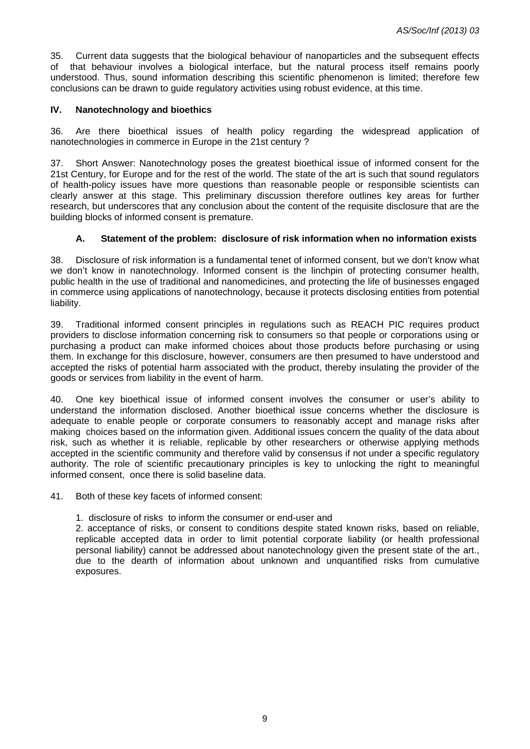35. Current data suggests that the biological behaviour of nanoparticles and the subsequent effects of that behaviour involves a biological interface, but the natural process itself remains poorly understood. Thus, sound information describing this scientific phenomenon is limited; therefore few conclusions can be drawn to guide regulatory activities using robust evidence, at this time.

# **IV. Nanotechnology and bioethics**

36. Are there bioethical issues of health policy regarding the widespread application of nanotechnologies in commerce in Europe in the 21st century ?

37. Short Answer: Nanotechnology poses the greatest bioethical issue of informed consent for the 21st Century, for Europe and for the rest of the world. The state of the art is such that sound regulators of health-policy issues have more questions than reasonable people or responsible scientists can clearly answer at this stage. This preliminary discussion therefore outlines key areas for further research, but underscores that any conclusion about the content of the requisite disclosure that are the building blocks of informed consent is premature.

# **A. Statement of the problem: disclosure of risk information when no information exists**

38. Disclosure of risk information is a fundamental tenet of informed consent, but we don't know what we don't know in nanotechnology. Informed consent is the linchpin of protecting consumer health, public health in the use of traditional and nanomedicines, and protecting the life of businesses engaged in commerce using applications of nanotechnology, because it protects disclosing entities from potential liability.

39. Traditional informed consent principles in regulations such as REACH PIC requires product providers to disclose information concerning risk to consumers so that people or corporations using or purchasing a product can make informed choices about those products before purchasing or using them. In exchange for this disclosure, however, consumers are then presumed to have understood and accepted the risks of potential harm associated with the product, thereby insulating the provider of the goods or services from liability in the event of harm.

40. One key bioethical issue of informed consent involves the consumer or user's ability to understand the information disclosed. Another bioethical issue concerns whether the disclosure is adequate to enable people or corporate consumers to reasonably accept and manage risks after making choices based on the information given. Additional issues concern the quality of the data about risk, such as whether it is reliable, replicable by other researchers or otherwise applying methods accepted in the scientific community and therefore valid by consensus if not under a specific regulatory authority. The role of scientific precautionary principles is key to unlocking the right to meaningful informed consent, once there is solid baseline data.

41. Both of these key facets of informed consent:

1. disclosure of risks to inform the consumer or end-user and

 2. acceptance of risks, or consent to conditions despite stated known risks, based on reliable, replicable accepted data in order to limit potential corporate liability (or health professional personal liability) cannot be addressed about nanotechnology given the present state of the art., due to the dearth of information about unknown and unquantified risks from cumulative exposures.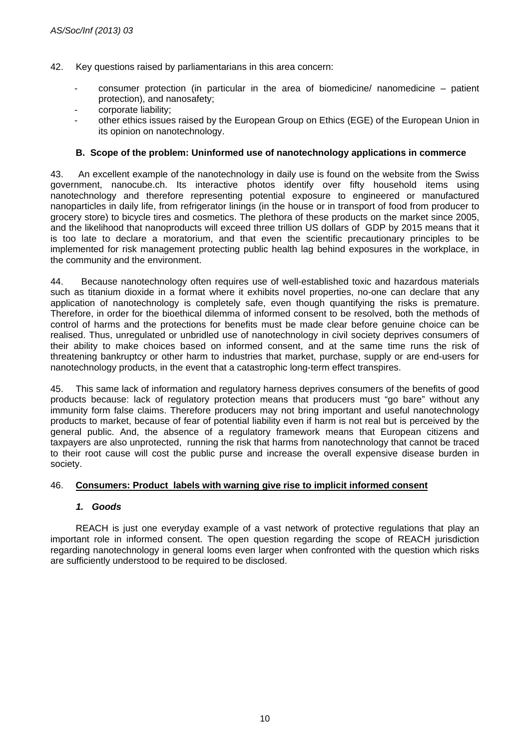- 42. Key questions raised by parliamentarians in this area concern:
	- consumer protection (in particular in the area of biomedicine/ nanomedicine patient protection), and nanosafety;
	- corporate liability:
	- other ethics issues raised by the European Group on Ethics (EGE) of the European Union in its opinion on nanotechnology.

# **B. Scope of the problem: Uninformed use of nanotechnology applications in commerce**

43. An excellent example of the nanotechnology in daily use is found on the website from the Swiss government, nanocube.ch. Its interactive photos identify over fifty household items using nanotechnology and therefore representing potential exposure to engineered or manufactured nanoparticles in daily life, from refrigerator linings (in the house or in transport of food from producer to grocery store) to bicycle tires and cosmetics. The plethora of these products on the market since 2005, and the likelihood that nanoproducts will exceed three trillion US dollars of GDP by 2015 means that it is too late to declare a moratorium, and that even the scientific precautionary principles to be implemented for risk management protecting public health lag behind exposures in the workplace, in the community and the environment.

44. Because nanotechnology often requires use of well-established toxic and hazardous materials such as titanium dioxide in a format where it exhibits novel properties, no-one can declare that any application of nanotechnology is completely safe, even though quantifying the risks is premature. Therefore, in order for the bioethical dilemma of informed consent to be resolved, both the methods of control of harms and the protections for benefits must be made clear before genuine choice can be realised. Thus, unregulated or unbridled use of nanotechnology in civil society deprives consumers of their ability to make choices based on informed consent, and at the same time runs the risk of threatening bankruptcy or other harm to industries that market, purchase, supply or are end-users for nanotechnology products, in the event that a catastrophic long-term effect transpires.

45. This same lack of information and regulatory harness deprives consumers of the benefits of good products because: lack of regulatory protection means that producers must "go bare" without any immunity form false claims. Therefore producers may not bring important and useful nanotechnology products to market, because of fear of potential liability even if harm is not real but is perceived by the general public. And, the absence of a regulatory framework means that European citizens and taxpayers are also unprotected, running the risk that harms from nanotechnology that cannot be traced to their root cause will cost the public purse and increase the overall expensive disease burden in society.

#### 46. **Consumers: Product labels with warning give rise to implicit informed consent**

#### *1. Goods*

 REACH is just one everyday example of a vast network of protective regulations that play an important role in informed consent. The open question regarding the scope of REACH jurisdiction regarding nanotechnology in general looms even larger when confronted with the question which risks are sufficiently understood to be required to be disclosed.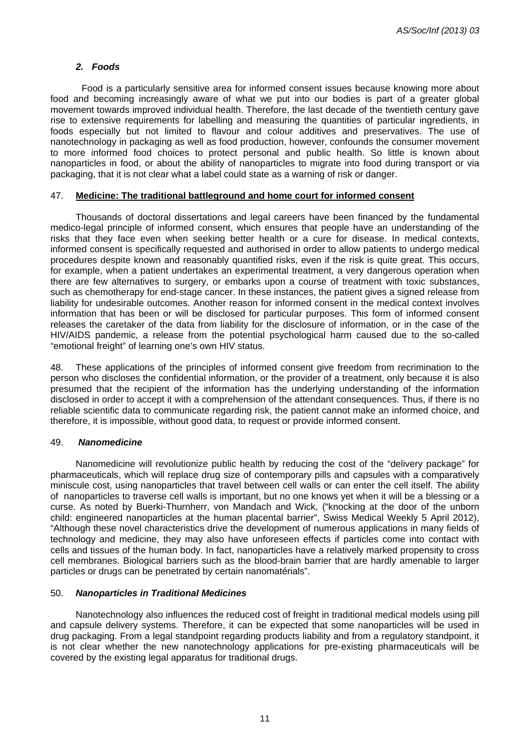#### *2. Foods*

 Food is a particularly sensitive area for informed consent issues because knowing more about food and becoming increasingly aware of what we put into our bodies is part of a greater global movement towards improved individual health. Therefore, the last decade of the twentieth century gave rise to extensive requirements for labelling and measuring the quantities of particular ingredients, in foods especially but not limited to flavour and colour additives and preservatives. The use of nanotechnology in packaging as well as food production, however, confounds the consumer movement to more informed food choices to protect personal and public health. So little is known about nanoparticles in food, or about the ability of nanoparticles to migrate into food during transport or via packaging, that it is not clear what a label could state as a warning of risk or danger.

#### 47. **Medicine: The traditional battleground and home court for informed consent**

 Thousands of doctoral dissertations and legal careers have been financed by the fundamental medico-legal principle of informed consent, which ensures that people have an understanding of the risks that they face even when seeking better health or a cure for disease. In medical contexts, informed consent is specifically requested and authorised in order to allow patients to undergo medical procedures despite known and reasonably quantified risks, even if the risk is quite great. This occurs, for example, when a patient undertakes an experimental treatment, a very dangerous operation when there are few alternatives to surgery, or embarks upon a course of treatment with toxic substances, such as chemotherapy for end-stage cancer. In these instances, the patient gives a signed release from liability for undesirable outcomes. Another reason for informed consent in the medical context involves information that has been or will be disclosed for particular purposes. This form of informed consent releases the caretaker of the data from liability for the disclosure of information, or in the case of the HIV/AIDS pandemic, a release from the potential psychological harm caused due to the so-called "emotional freight" of learning one's own HIV status.

48. These applications of the principles of informed consent give freedom from recrimination to the person who discloses the confidential information, or the provider of a treatment, only because it is also presumed that the recipient of the information has the underlying understanding of the information disclosed in order to accept it with a comprehension of the attendant consequences. Thus, if there is no reliable scientific data to communicate regarding risk, the patient cannot make an informed choice, and therefore, it is impossible, without good data, to request or provide informed consent.

#### 49. *Nanomedicine*

 Nanomedicine will revolutionize public health by reducing the cost of the "delivery package" for pharmaceuticals, which will replace drug size of contemporary pills and capsules with a comparatively miniscule cost, using nanoparticles that travel between cell walls or can enter the cell itself. The ability of nanoparticles to traverse cell walls is important, but no one knows yet when it will be a blessing or a curse. As noted by Buerki-Thurnherr, von Mandach and Wick, ("knocking at the door of the unborn child: engineered nanoparticles at the human placental barrier", Swiss Medical Weekly 5 April 2012), "Although these novel characteristics drive the development of numerous applications in many fields of technology and medicine, they may also have unforeseen effects if particles come into contact with cells and tissues of the human body. In fact, nanoparticles have a relatively marked propensity to cross cell membranes. Biological barriers such as the blood-brain barrier that are hardly amenable to larger particles or drugs can be penetrated by certain nanomatérials".

#### 50. *Nanoparticles in Traditional Medicines*

 Nanotechnology also influences the reduced cost of freight in traditional medical models using pill and capsule delivery systems. Therefore, it can be expected that some nanoparticles will be used in drug packaging. From a legal standpoint regarding products liability and from a regulatory standpoint, it is not clear whether the new nanotechnology applications for pre-existing pharmaceuticals will be covered by the existing legal apparatus for traditional drugs.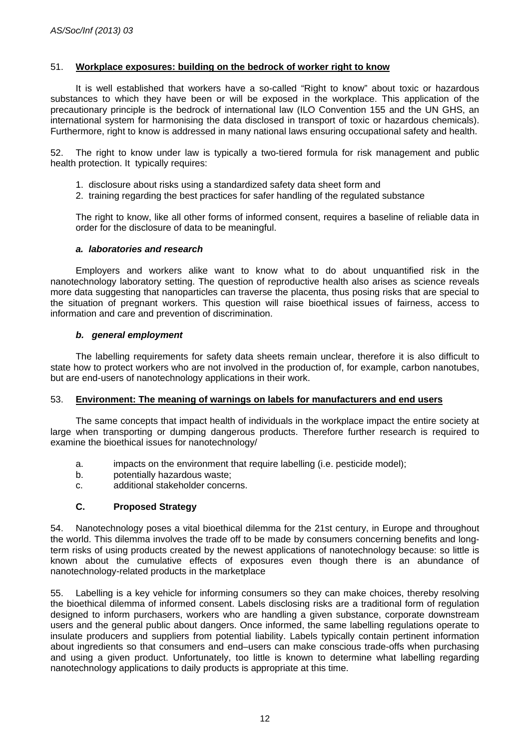# 51. **Workplace exposures: building on the bedrock of worker right to know**

 It is well established that workers have a so-called "Right to know" about toxic or hazardous substances to which they have been or will be exposed in the workplace. This application of the precautionary principle is the bedrock of international law (ILO Convention 155 and the UN GHS, an international system for harmonising the data disclosed in transport of toxic or hazardous chemicals). Furthermore, right to know is addressed in many national laws ensuring occupational safety and health.

52. The right to know under law is typically a two-tiered formula for risk management and public health protection. It typically requires:

- 1. disclosure about risks using a standardized safety data sheet form and
- 2. training regarding the best practices for safer handling of the regulated substance

The right to know, like all other forms of informed consent, requires a baseline of reliable data in order for the disclosure of data to be meaningful.

#### *a. laboratories and research*

 Employers and workers alike want to know what to do about unquantified risk in the nanotechnology laboratory setting. The question of reproductive health also arises as science reveals more data suggesting that nanoparticles can traverse the placenta, thus posing risks that are special to the situation of pregnant workers. This question will raise bioethical issues of fairness, access to information and care and prevention of discrimination.

#### *b. general employment*

 The labelling requirements for safety data sheets remain unclear, therefore it is also difficult to state how to protect workers who are not involved in the production of, for example, carbon nanotubes, but are end-users of nanotechnology applications in their work.

#### 53. **Environment: The meaning of warnings on labels for manufacturers and end users**

 The same concepts that impact health of individuals in the workplace impact the entire society at large when transporting or dumping dangerous products. Therefore further research is required to examine the bioethical issues for nanotechnology/

- a. impacts on the environment that require labelling (i.e. pesticide model);
- b. potentially hazardous waste;
- c. additional stakeholder concerns.

#### **C. Proposed Strategy**

54. Nanotechnology poses a vital bioethical dilemma for the 21st century, in Europe and throughout the world. This dilemma involves the trade off to be made by consumers concerning benefits and longterm risks of using products created by the newest applications of nanotechnology because: so little is known about the cumulative effects of exposures even though there is an abundance of nanotechnology-related products in the marketplace

55. Labelling is a key vehicle for informing consumers so they can make choices, thereby resolving the bioethical dilemma of informed consent. Labels disclosing risks are a traditional form of regulation designed to inform purchasers, workers who are handling a given substance, corporate downstream users and the general public about dangers. Once informed, the same labelling regulations operate to insulate producers and suppliers from potential liability. Labels typically contain pertinent information about ingredients so that consumers and end–users can make conscious trade-offs when purchasing and using a given product. Unfortunately, too little is known to determine what labelling regarding nanotechnology applications to daily products is appropriate at this time.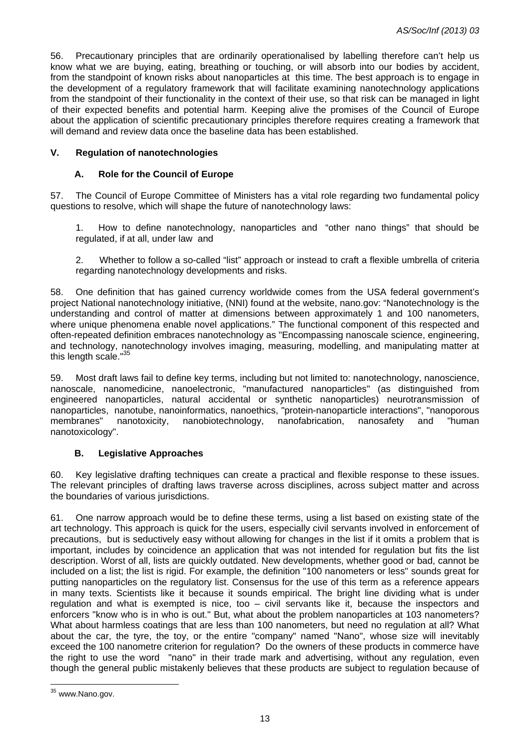56. Precautionary principles that are ordinarily operationalised by labelling therefore can't help us know what we are buying, eating, breathing or touching, or will absorb into our bodies by accident, from the standpoint of known risks about nanoparticles at this time. The best approach is to engage in the development of a regulatory framework that will facilitate examining nanotechnology applications from the standpoint of their functionality in the context of their use, so that risk can be managed in light of their expected benefits and potential harm. Keeping alive the promises of the Council of Europe about the application of scientific precautionary principles therefore requires creating a framework that will demand and review data once the baseline data has been established.

### **V. Regulation of nanotechnologies**

# **A. Role for the Council of Europe**

57. The Council of Europe Committee of Ministers has a vital role regarding two fundamental policy questions to resolve, which will shape the future of nanotechnology laws:

1. How to define nanotechnology, nanoparticles and "other nano things" that should be regulated, if at all, under law and

2. Whether to follow a so-called "list" approach or instead to craft a flexible umbrella of criteria regarding nanotechnology developments and risks.

58. One definition that has gained currency worldwide comes from the USA federal government's project National nanotechnology initiative, (NNI) found at the website, nano.gov: "Nanotechnology is the understanding and control of matter at dimensions between approximately 1 and 100 nanometers, where unique phenomena enable novel applications." The functional component of this respected and often-repeated definition embraces nanotechnology as "Encompassing nanoscale science, engineering, and technology, nanotechnology involves imaging, measuring, modelling, and manipulating matter at this length scale."<sup>35</sup>

59. Most draft laws fail to define key terms, including but not limited to: nanotechnology, nanoscience, nanoscale, nanomedicine, nanoelectronic, "manufactured nanoparticles" (as distinguished from engineered nanoparticles, natural accidental or synthetic nanoparticles) neurotransmission of nanoparticles, nanotube, nanoinformatics, nanoethics, "protein-nanoparticle interactions", "nanoporous membranes" nanotoxicity, nanobiotechnology, nanofabrication, nanosafety and "human nanotoxicology".

# **B. Legislative Approaches**

60. Key legislative drafting techniques can create a practical and flexible response to these issues. The relevant principles of drafting laws traverse across disciplines, across subject matter and across the boundaries of various jurisdictions.

61. One narrow approach would be to define these terms, using a list based on existing state of the art technology. This approach is quick for the users, especially civil servants involved in enforcement of precautions, but is seductively easy without allowing for changes in the list if it omits a problem that is important, includes by coincidence an application that was not intended for regulation but fits the list description. Worst of all, lists are quickly outdated. New developments, whether good or bad, cannot be included on a list; the list is rigid. For example, the definition "100 nanometers or less" sounds great for putting nanoparticles on the regulatory list. Consensus for the use of this term as a reference appears in many texts. Scientists like it because it sounds empirical. The bright line dividing what is under regulation and what is exempted is nice, too – civil servants like it, because the inspectors and enforcers "know who is in who is out." But, what about the problem nanoparticles at 103 nanometers? What about harmless coatings that are less than 100 nanometers, but need no regulation at all? What about the car, the tyre, the toy, or the entire "company" named "Nano", whose size will inevitably exceed the 100 nanometre criterion for regulation? Do the owners of these products in commerce have the right to use the word "nano" in their trade mark and advertising, without any regulation, even though the general public mistakenly believes that these products are subject to regulation because of

 $\overline{a}$ <sup>35</sup> www.Nano.gov.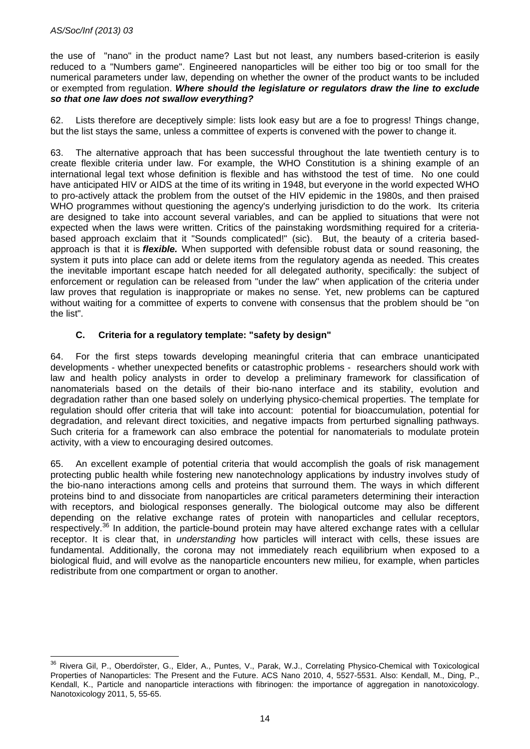$\overline{a}$ 

the use of "nano" in the product name? Last but not least, any numbers based-criterion is easily reduced to a "Numbers game". Engineered nanoparticles will be either too big or too small for the numerical parameters under law, depending on whether the owner of the product wants to be included or exempted from regulation. *Where should the legislature or regulators draw the line to exclude so that one law does not swallow everything?* 

62. Lists therefore are deceptively simple: lists look easy but are a foe to progress! Things change, but the list stays the same, unless a committee of experts is convened with the power to change it.

63. The alternative approach that has been successful throughout the late twentieth century is to create flexible criteria under law. For example, the WHO Constitution is a shining example of an international legal text whose definition is flexible and has withstood the test of time. No one could have anticipated HIV or AIDS at the time of its writing in 1948, but everyone in the world expected WHO to pro-actively attack the problem from the outset of the HIV epidemic in the 1980s, and then praised WHO programmes without questioning the agency's underlying jurisdiction to do the work. Its criteria are designed to take into account several variables, and can be applied to situations that were not expected when the laws were written. Critics of the painstaking wordsmithing required for a criteriabased approach exclaim that it "Sounds complicated!" (sic). But, the beauty of a criteria basedapproach is that it is *flexible.* When supported with defensible robust data or sound reasoning, the system it puts into place can add or delete items from the regulatory agenda as needed. This creates the inevitable important escape hatch needed for all delegated authority, specifically: the subject of enforcement or regulation can be released from "under the law" when application of the criteria under law proves that regulation is inappropriate or makes no sense. Yet, new problems can be captured without waiting for a committee of experts to convene with consensus that the problem should be "on the list".

# **C. Criteria for a regulatory template: "safety by design"**

64. For the first steps towards developing meaningful criteria that can embrace unanticipated developments - whether unexpected benefits or catastrophic problems - researchers should work with law and health policy analysts in order to develop a preliminary framework for classification of nanomaterials based on the details of their bio-nano interface and its stability, evolution and degradation rather than one based solely on underlying physico-chemical properties. The template for regulation should offer criteria that will take into account: potential for bioaccumulation, potential for degradation, and relevant direct toxicities, and negative impacts from perturbed signalling pathways. Such criteria for a framework can also embrace the potential for nanomaterials to modulate protein activity, with a view to encouraging desired outcomes.

65. An excellent example of potential criteria that would accomplish the goals of risk management protecting public health while fostering new nanotechnology applications by industry involves study of the bio-nano interactions among cells and proteins that surround them. The ways in which different proteins bind to and dissociate from nanoparticles are critical parameters determining their interaction with receptors, and biological responses generally. The biological outcome may also be different depending on the relative exchange rates of protein with nanoparticles and cellular receptors, respectively.<sup>36</sup> In addition, the particle-bound protein may have altered exchange rates with a cellular receptor. It is clear that, in *understanding* how particles will interact with cells, these issues are fundamental. Additionally, the corona may not immediately reach equilibrium when exposed to a biological fluid, and will evolve as the nanoparticle encounters new milieu, for example, when particles redistribute from one compartment or organ to another.

<sup>&</sup>lt;sup>36</sup> Rivera Gil, P., Oberdoïster, G., Elder, A., Puntes, V., Parak, W.J., Correlating Physico-Chemical with Toxicological Properties of Nanoparticles: The Present and the Future. ACS Nano 2010, 4, 5527-5531. Also: Kendall, M., Ding, P., Kendall, K., Particle and nanoparticle interactions with fibrinogen: the importance of aggregation in nanotoxicology. Nanotoxicology 2011, 5, 55-65.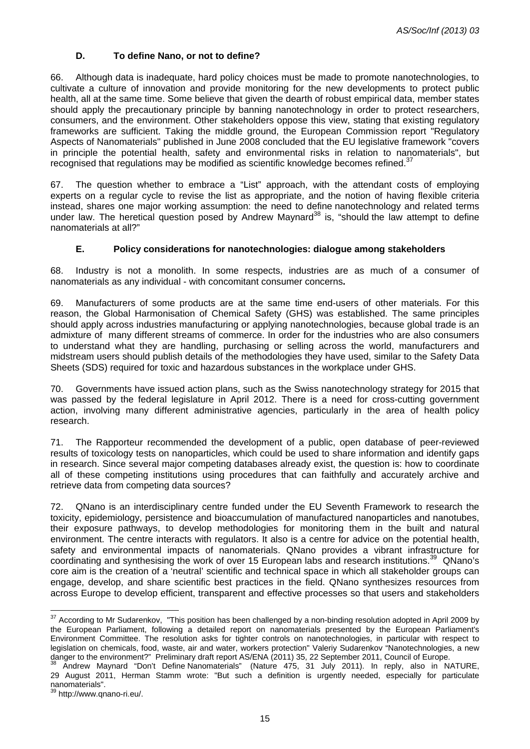# **D. To define Nano, or not to define?**

66. Although data is inadequate, hard policy choices must be made to promote nanotechnologies, to cultivate a culture of innovation and provide monitoring for the new developments to protect public health, all at the same time. Some believe that given the dearth of robust empirical data, member states should apply the precautionary principle by banning nanotechnology in order to protect researchers, consumers, and the environment. Other stakeholders oppose this view, stating that existing regulatory frameworks are sufficient. Taking the middle ground, the European Commission report "Regulatory Aspects of Nanomaterials" published in June 2008 concluded that the EU legislative framework "covers in principle the potential health, safety and environmental risks in relation to nanomaterials", but recognised that regulations may be modified as scientific knowledge becomes refined.<sup>37</sup>

67. The question whether to embrace a "List" approach, with the attendant costs of employing experts on a regular cycle to revise the list as appropriate, and the notion of having flexible criteria instead, shares one major working assumption: the need to define nanotechnology and related terms under law. The heretical question posed by Andrew Maynard<sup>38</sup> is, "should the law attempt to define nanomaterials at all?"

#### **E. Policy considerations for nanotechnologies: dialogue among stakeholders**

68. Industry is not a monolith. In some respects, industries are as much of a consumer of nanomaterials as any individual - with concomitant consumer concerns**.** 

69. Manufacturers of some products are at the same time end-users of other materials. For this reason, the Global Harmonisation of Chemical Safety (GHS) was established. The same principles should apply across industries manufacturing or applying nanotechnologies, because global trade is an admixture of many different streams of commerce. In order for the industries who are also consumers to understand what they are handling, purchasing or selling across the world, manufacturers and midstream users should publish details of the methodologies they have used, similar to the Safety Data Sheets (SDS) required for toxic and hazardous substances in the workplace under GHS.

70. Governments have issued action plans, such as the Swiss nanotechnology strategy for 2015 that was passed by the federal legislature in April 2012. There is a need for cross-cutting government action, involving many different administrative agencies, particularly in the area of health policy research.

71. The Rapporteur recommended the development of a public, open database of peer-reviewed results of toxicology tests on nanoparticles, which could be used to share information and identify gaps in research. Since several major competing databases already exist, the question is: how to coordinate all of these competing institutions using procedures that can faithfully and accurately archive and retrieve data from competing data sources?

72. QNano is an interdisciplinary centre funded under the EU Seventh Framework to research the toxicity, epidemiology, persistence and bioaccumulation of manufactured nanoparticles and nanotubes, their exposure pathways, to develop methodologies for monitoring them in the built and natural environment. The centre interacts with regulators. It also is a centre for advice on the potential health, safety and environmental impacts of nanomaterials. QNano provides a vibrant infrastructure for coordinating and synthesising the work of over 15 European labs and research institutions.<sup>39</sup> QNano's core aim is the creation of a 'neutral' scientific and technical space in which all stakeholder groups can engage, develop, and share scientific best practices in the field. QNano synthesizes resources from across Europe to develop efficient, transparent and effective processes so that users and stakeholders

 $\overline{a}$  $37$  According to Mr Sudarenkov, "This position has been challenged by a non-binding resolution adopted in April 2009 by the European Parliament, following a detailed report on nanomaterials presented by the European Parliament's Environment Committee. The resolution asks for tighter controls on nanotechnologies, in particular with respect to legislation on chemicals, food, waste, air and water, workers protection" Valeriy Sudarenkov "Nanotechnologies, a new<br>danger to the environment?" Preliminary draft report AS/ENA (2011) 35, 22 September 2011, Council of Eur

as Andrew Maynard "Don't Define Nanomaterials" (Nature 475, 31 July 2011). In reply, also in NATURE, 29 August 2011, Herman Stamm wrote: "But such a definition is urgently needed, especially for particulate nanomaterials".

<sup>39</sup> http://www.qnano-ri.eu/.